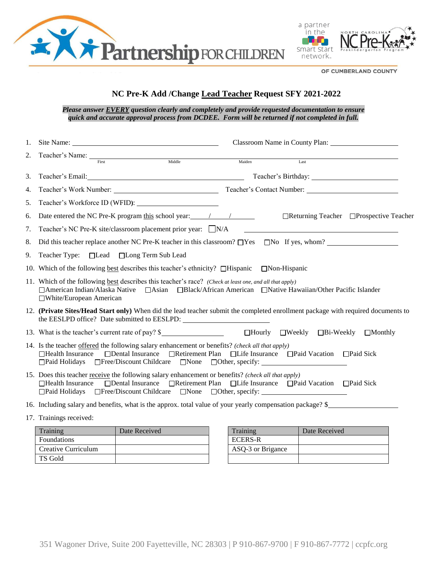



OF CUMBERLAND COUNTY

## **NC Pre-K Add /Change Lead Teacher Request SFY 2021-2022**

*Please answer EVERY question clearly and completely and provide requested documentation to ensure quick and accurate approval process from DCDEE. Form will be returned if not completed in full.* 

| 1. |                                                                                                                                                                                                                                                                                                                     |        |                                              |                                         |  |
|----|---------------------------------------------------------------------------------------------------------------------------------------------------------------------------------------------------------------------------------------------------------------------------------------------------------------------|--------|----------------------------------------------|-----------------------------------------|--|
| 2. | Middle<br>First                                                                                                                                                                                                                                                                                                     | Maiden | Last                                         |                                         |  |
| 3. | Teacher's Email: New York Channels and Teacher's Email:                                                                                                                                                                                                                                                             |        |                                              |                                         |  |
| 4. |                                                                                                                                                                                                                                                                                                                     |        |                                              |                                         |  |
| 5. | Teacher's Workforce ID (WFID):                                                                                                                                                                                                                                                                                      |        |                                              |                                         |  |
| 6. |                                                                                                                                                                                                                                                                                                                     |        |                                              | □Returning Teacher □Prospective Teacher |  |
| 7. | Teacher's NC Pre-K site/classroom placement prior year: □N/A                                                                                                                                                                                                                                                        |        |                                              |                                         |  |
| 8. | Did this teacher replace another NC Pre-K teacher in this classroom? $\Box$ Yes $\Box$ No If yes, whom?                                                                                                                                                                                                             |        |                                              |                                         |  |
| 9. | Teacher Type: □Lead □Long Term Sub Lead                                                                                                                                                                                                                                                                             |        |                                              |                                         |  |
|    | 10. Which of the following <u>best</u> describes this teacher's ethnicity? $\Box$ Hispanic $\Box$ Non-Hispanic                                                                                                                                                                                                      |        |                                              |                                         |  |
|    | 11. Which of the following best describes this teacher's race? (Check at least one, and all that apply)<br>□ American Indian/Alaska Native □ Asian □ Black/African American □ Native Hawaiian/Other Pacific Islander<br>□White/European American                                                                    |        |                                              |                                         |  |
|    | 12. (Private Sites/Head Start only) When did the lead teacher submit the completed enrollment package with required documents to<br>the EESLPD office? Date submitted to EESLPD: ___________________________________                                                                                                |        |                                              |                                         |  |
|    | 13. What is the teacher's current rate of pay? \$                                                                                                                                                                                                                                                                   |        | $\Box$ Hourly $\Box$ Weekly $\Box$ Bi-Weekly | $\Box$ Monthly                          |  |
|    | 14. Is the teacher offered the following salary enhancement or benefits? (check all that apply)<br>$\Box$ Health Insurance<br>$\Box$ Paid Holidays<br>$\Box$ Free/Discount Childcare $\Box$ None $\Box$ Other, specify:                                                                                             |        |                                              |                                         |  |
|    | 15. Does this teacher receive the following salary enhancement or benefits? (check all that apply)<br>□Dental Insurance □Retirement Plan □Life Insurance □Paid Vacation □Paid Sick<br>$\Box$ Health Insurance<br>□Free/Discount Childcare □None □Other, specify: ________________________________<br>□Paid Holidays |        |                                              |                                         |  |
|    | 16. Including salary and benefits, what is the approx. total value of your yearly compensation package? \$                                                                                                                                                                                                          |        |                                              |                                         |  |
|    | 17. Trainings received:                                                                                                                                                                                                                                                                                             |        |                                              |                                         |  |
|    |                                                                                                                                                                                                                                                                                                                     |        |                                              |                                         |  |

| Training            | Date Received | Training          | Date Received |
|---------------------|---------------|-------------------|---------------|
| <b>Foundations</b>  |               | <b>ECERS-R</b>    |               |
| Creative Curriculum |               | ASO-3 or Brigance |               |
| TS Gold             |               |                   |               |

| Training          | Date Received |
|-------------------|---------------|
| <b>ECERS-R</b>    |               |
| ASQ-3 or Brigance |               |
|                   |               |